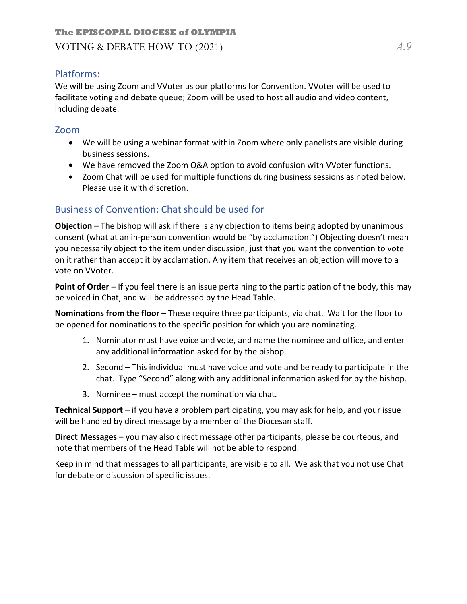## Platforms:

We will be using Zoom and VVoter as our platforms for Convention. VVoter will be used to facilitate voting and debate queue; Zoom will be used to host all audio and video content, including debate.

### Zoom

- We will be using a webinar format within Zoom where only panelists are visible during business sessions.
- We have removed the Zoom Q&A option to avoid confusion with VVoter functions.
- Zoom Chat will be used for multiple functions during business sessions as noted below. Please use it with discretion.

# Business of Convention: Chat should be used for

**Objection** – The bishop will ask if there is any objection to items being adopted by unanimous consent (what at an in-person convention would be "by acclamation.") Objecting doesn't mean you necessarily object to the item under discussion, just that you want the convention to vote on it rather than accept it by acclamation. Any item that receives an objection will move to a vote on VVoter.

**Point of Order** – If you feel there is an issue pertaining to the participation of the body, this may be voiced in Chat, and will be addressed by the Head Table.

**Nominations from the floor** – These require three participants, via chat. Wait for the floor to be opened for nominations to the specific position for which you are nominating.

- 1. Nominator must have voice and vote, and name the nominee and office, and enter any additional information asked for by the bishop.
- 2. Second This individual must have voice and vote and be ready to participate in the chat. Type "Second" along with any additional information asked for by the bishop.
- 3. Nominee must accept the nomination via chat.

**Technical Support** – if you have a problem participating, you may ask for help, and your issue will be handled by direct message by a member of the Diocesan staff.

**Direct Messages** – you may also direct message other participants, please be courteous, and note that members of the Head Table will not be able to respond.

Keep in mind that messages to all participants, are visible to all. We ask that you not use Chat for debate or discussion of specific issues.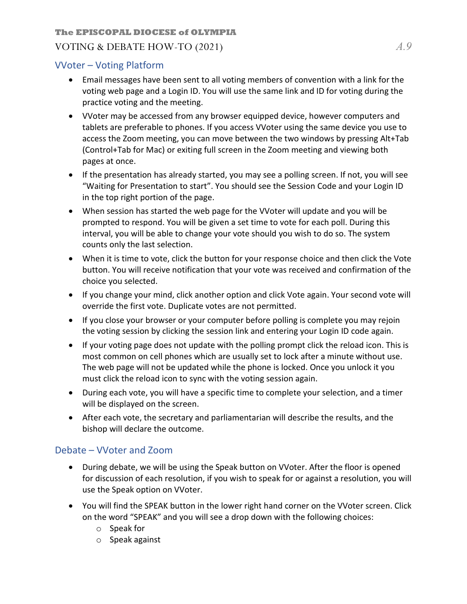#### **The EPISCOPAL DIOCESE of OLYMPIA**

### VOTING & DEBATE HOW-TO (2021) *A.9*

## VVoter – Voting Platform

- Email messages have been sent to all voting members of convention with a link for the voting web page and a Login ID. You will use the same link and ID for voting during the practice voting and the meeting.
- VVoter may be accessed from any browser equipped device, however computers and tablets are preferable to phones. If you access VVoter using the same device you use to access the Zoom meeting, you can move between the two windows by pressing Alt+Tab (Control+Tab for Mac) or exiting full screen in the Zoom meeting and viewing both pages at once.
- If the presentation has already started, you may see a polling screen. If not, you will see "Waiting for Presentation to start". You should see the Session Code and your Login ID in the top right portion of the page.
- When session has started the web page for the VVoter will update and you will be prompted to respond. You will be given a set time to vote for each poll. During this interval, you will be able to change your vote should you wish to do so. The system counts only the last selection.
- When it is time to vote, click the button for your response choice and then click the Vote button. You will receive notification that your vote was received and confirmation of the choice you selected.
- If you change your mind, click another option and click Vote again. Your second vote will override the first vote. Duplicate votes are not permitted.
- If you close your browser or your computer before polling is complete you may rejoin the voting session by clicking the session link and entering your Login ID code again.
- If your voting page does not update with the polling prompt click the reload icon. This is most common on cell phones which are usually set to lock after a minute without use. The web page will not be updated while the phone is locked. Once you unlock it you must click the reload icon to sync with the voting session again.
- During each vote, you will have a specific time to complete your selection, and a timer will be displayed on the screen.
- After each vote, the secretary and parliamentarian will describe the results, and the bishop will declare the outcome.

# Debate – VVoter and Zoom

- During debate, we will be using the Speak button on VVoter. After the floor is opened for discussion of each resolution, if you wish to speak for or against a resolution, you will use the Speak option on VVoter.
- You will find the SPEAK button in the lower right hand corner on the VVoter screen. Click on the word "SPEAK" and you will see a drop down with the following choices:
	- o Speak for
	- o Speak against